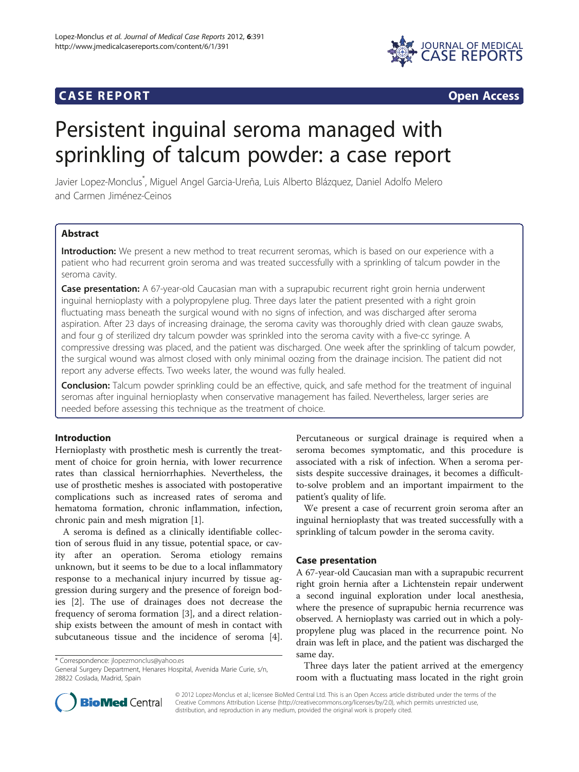

## **CASE REPORT CASE REPORT**

# Persistent inguinal seroma managed with sprinkling of talcum powder: a case report

Javier Lopez-Monclus\* , Miguel Angel Garcia-Ureña, Luis Alberto Blázquez, Daniel Adolfo Melero and Carmen Jiménez-Ceinos

## Abstract

Introduction: We present a new method to treat recurrent seromas, which is based on our experience with a patient who had recurrent groin seroma and was treated successfully with a sprinkling of talcum powder in the seroma cavity.

Case presentation: A 67-year-old Caucasian man with a suprapubic recurrent right groin hernia underwent inguinal hernioplasty with a polypropylene plug. Three days later the patient presented with a right groin fluctuating mass beneath the surgical wound with no signs of infection, and was discharged after seroma aspiration. After 23 days of increasing drainage, the seroma cavity was thoroughly dried with clean gauze swabs, and four g of sterilized dry talcum powder was sprinkled into the seroma cavity with a five-cc syringe. A compressive dressing was placed, and the patient was discharged. One week after the sprinkling of talcum powder, the surgical wound was almost closed with only minimal oozing from the drainage incision. The patient did not report any adverse effects. Two weeks later, the wound was fully healed.

**Conclusion:** Talcum powder sprinkling could be an effective, quick, and safe method for the treatment of inguinal seromas after inguinal hernioplasty when conservative management has failed. Nevertheless, larger series are needed before assessing this technique as the treatment of choice.

## Introduction

Hernioplasty with prosthetic mesh is currently the treatment of choice for groin hernia, with lower recurrence rates than classical herniorrhaphies. Nevertheless, the use of prosthetic meshes is associated with postoperative complications such as increased rates of seroma and hematoma formation, chronic inflammation, infection, chronic pain and mesh migration [[1](#page-2-0)].

A seroma is defined as a clinically identifiable collection of serous fluid in any tissue, potential space, or cavity after an operation. Seroma etiology remains unknown, but it seems to be due to a local inflammatory response to a mechanical injury incurred by tissue aggression during surgery and the presence of foreign bodies [[2](#page-2-0)]. The use of drainages does not decrease the frequency of seroma formation [\[3](#page-2-0)], and a direct relationship exists between the amount of mesh in contact with subcutaneous tissue and the incidence of seroma [\[4](#page-2-0)].

\* Correspondence: [jlopezmonclus@yahoo.es](mailto:jlopezmonclus@yahoo.es)

General Surgery Department, Henares Hospital, Avenida Marie Curie, s/n, 28822 Coslada, Madrid, Spain

Percutaneous or surgical drainage is required when a seroma becomes symptomatic, and this procedure is associated with a risk of infection. When a seroma persists despite successive drainages, it becomes a difficultto-solve problem and an important impairment to the patient's quality of life.

We present a case of recurrent groin seroma after an inguinal hernioplasty that was treated successfully with a sprinkling of talcum powder in the seroma cavity.

## Case presentation

A 67-year-old Caucasian man with a suprapubic recurrent right groin hernia after a Lichtenstein repair underwent a second inguinal exploration under local anesthesia, where the presence of suprapubic hernia recurrence was observed. A hernioplasty was carried out in which a polypropylene plug was placed in the recurrence point. No drain was left in place, and the patient was discharged the same day.

Three days later the patient arrived at the emergency room with a fluctuating mass located in the right groin



© 2012 Lopez-Monclus et al.; licensee BioMed Central Ltd. This is an Open Access article distributed under the terms of the Creative Commons Attribution License (<http://creativecommons.org/licenses/by/2.0>), which permits unrestricted use, distribution, and reproduction in any medium, provided the original work is properly cited.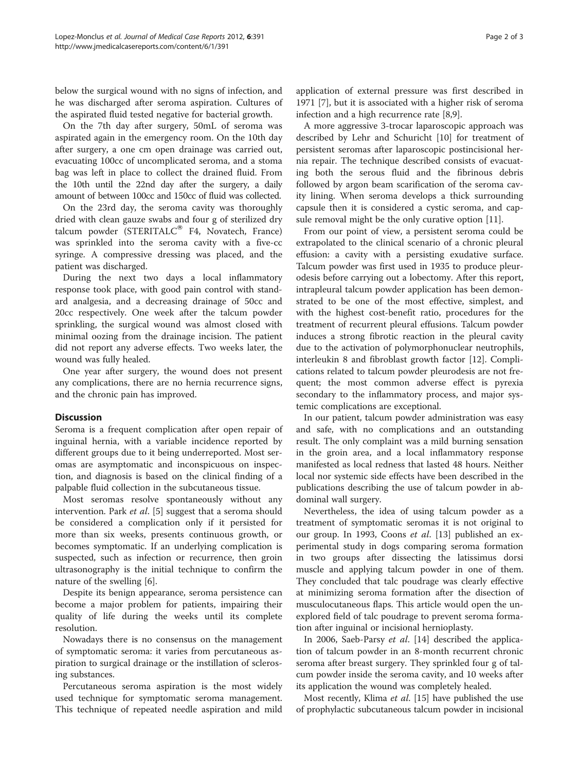below the surgical wound with no signs of infection, and he was discharged after seroma aspiration. Cultures of the aspirated fluid tested negative for bacterial growth.

On the 7th day after surgery, 50mL of seroma was aspirated again in the emergency room. On the 10th day after surgery, a one cm open drainage was carried out, evacuating 100cc of uncomplicated seroma, and a stoma bag was left in place to collect the drained fluid. From the 10th until the 22nd day after the surgery, a daily amount of between 100cc and 150cc of fluid was collected.

On the 23rd day, the seroma cavity was thoroughly dried with clean gauze swabs and four g of sterilized dry talcum powder  $(STERITALC<sup>®</sup> F4$ , Novatech, France) was sprinkled into the seroma cavity with a five-cc syringe. A compressive dressing was placed, and the patient was discharged.

During the next two days a local inflammatory response took place, with good pain control with standard analgesia, and a decreasing drainage of 50cc and 20cc respectively. One week after the talcum powder sprinkling, the surgical wound was almost closed with minimal oozing from the drainage incision. The patient did not report any adverse effects. Two weeks later, the wound was fully healed.

One year after surgery, the wound does not present any complications, there are no hernia recurrence signs, and the chronic pain has improved.

## **Discussion**

Seroma is a frequent complication after open repair of inguinal hernia, with a variable incidence reported by different groups due to it being underreported. Most seromas are asymptomatic and inconspicuous on inspection, and diagnosis is based on the clinical finding of a palpable fluid collection in the subcutaneous tissue.

Most seromas resolve spontaneously without any intervention. Park *et al.* [\[5](#page-2-0)] suggest that a seroma should be considered a complication only if it persisted for more than six weeks, presents continuous growth, or becomes symptomatic. If an underlying complication is suspected, such as infection or recurrence, then groin ultrasonography is the initial technique to confirm the nature of the swelling [[6\]](#page-2-0).

Despite its benign appearance, seroma persistence can become a major problem for patients, impairing their quality of life during the weeks until its complete resolution.

Nowadays there is no consensus on the management of symptomatic seroma: it varies from percutaneous aspiration to surgical drainage or the instillation of sclerosing substances.

Percutaneous seroma aspiration is the most widely used technique for symptomatic seroma management. This technique of repeated needle aspiration and mild

application of external pressure was first described in 1971 [[7](#page-2-0)], but it is associated with a higher risk of seroma infection and a high recurrence rate [\[8,9](#page-2-0)].

A more aggressive 3-trocar laparoscopic approach was described by Lehr and Schuricht [\[10](#page-2-0)] for treatment of persistent seromas after laparoscopic postincisional hernia repair. The technique described consists of evacuating both the serous fluid and the fibrinous debris followed by argon beam scarification of the seroma cavity lining. When seroma develops a thick surrounding capsule then it is considered a cystic seroma, and capsule removal might be the only curative option [[11\]](#page-2-0).

From our point of view, a persistent seroma could be extrapolated to the clinical scenario of a chronic pleural effusion: a cavity with a persisting exudative surface. Talcum powder was first used in 1935 to produce pleurodesis before carrying out a lobectomy. After this report, intrapleural talcum powder application has been demonstrated to be one of the most effective, simplest, and with the highest cost-benefit ratio, procedures for the treatment of recurrent pleural effusions. Talcum powder induces a strong fibrotic reaction in the pleural cavity due to the activation of polymorphonuclear neutrophils, interleukin 8 and fibroblast growth factor [[12\]](#page-2-0). Complications related to talcum powder pleurodesis are not frequent; the most common adverse effect is pyrexia secondary to the inflammatory process, and major systemic complications are exceptional.

In our patient, talcum powder administration was easy and safe, with no complications and an outstanding result. The only complaint was a mild burning sensation in the groin area, and a local inflammatory response manifested as local redness that lasted 48 hours. Neither local nor systemic side effects have been described in the publications describing the use of talcum powder in abdominal wall surgery.

Nevertheless, the idea of using talcum powder as a treatment of symptomatic seromas it is not original to our group. In 1993, Coons et al. [\[13\]](#page-2-0) published an experimental study in dogs comparing seroma formation in two groups after dissecting the latissimus dorsi muscle and applying talcum powder in one of them. They concluded that talc poudrage was clearly effective at minimizing seroma formation after the disection of musculocutaneous flaps. This article would open the unexplored field of talc poudrage to prevent seroma formation after inguinal or incisional hernioplasty.

In 2006, Saeb-Parsy et al. [\[14\]](#page-2-0) described the application of talcum powder in an 8-month recurrent chronic seroma after breast surgery. They sprinkled four g of talcum powder inside the seroma cavity, and 10 weeks after its application the wound was completely healed.

Most recently, Klima et al. [\[15\]](#page-2-0) have published the use of prophylactic subcutaneous talcum powder in incisional